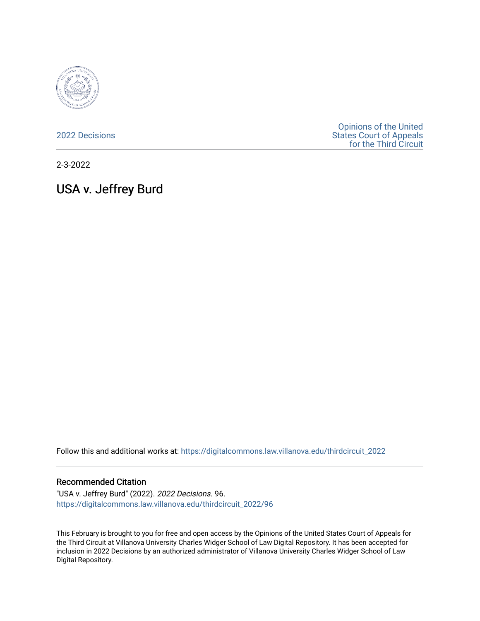

[2022 Decisions](https://digitalcommons.law.villanova.edu/thirdcircuit_2022)

[Opinions of the United](https://digitalcommons.law.villanova.edu/thirdcircuit)  [States Court of Appeals](https://digitalcommons.law.villanova.edu/thirdcircuit)  [for the Third Circuit](https://digitalcommons.law.villanova.edu/thirdcircuit) 

2-3-2022

# USA v. Jeffrey Burd

Follow this and additional works at: [https://digitalcommons.law.villanova.edu/thirdcircuit\\_2022](https://digitalcommons.law.villanova.edu/thirdcircuit_2022?utm_source=digitalcommons.law.villanova.edu%2Fthirdcircuit_2022%2F96&utm_medium=PDF&utm_campaign=PDFCoverPages) 

#### Recommended Citation

"USA v. Jeffrey Burd" (2022). 2022 Decisions. 96. [https://digitalcommons.law.villanova.edu/thirdcircuit\\_2022/96](https://digitalcommons.law.villanova.edu/thirdcircuit_2022/96?utm_source=digitalcommons.law.villanova.edu%2Fthirdcircuit_2022%2F96&utm_medium=PDF&utm_campaign=PDFCoverPages)

This February is brought to you for free and open access by the Opinions of the United States Court of Appeals for the Third Circuit at Villanova University Charles Widger School of Law Digital Repository. It has been accepted for inclusion in 2022 Decisions by an authorized administrator of Villanova University Charles Widger School of Law Digital Repository.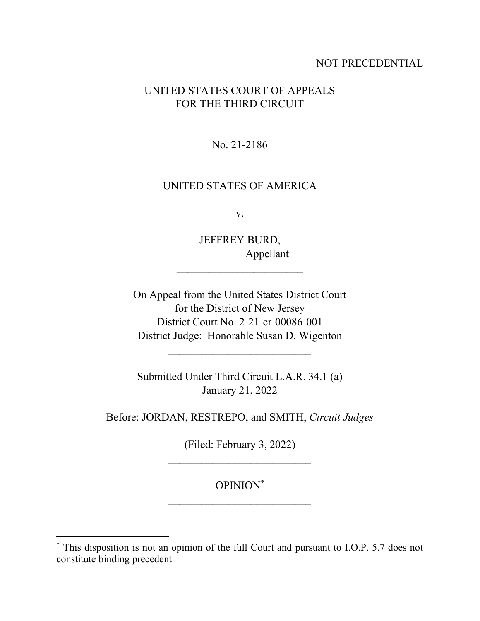# NOT PRECEDENTIAL

# UNITED STATES COURT OF APPEALS FOR THE THIRD CIRCUIT

 $\mathcal{L}_\text{max}$  , where  $\mathcal{L}_\text{max}$  and  $\mathcal{L}_\text{max}$ 

No. 21-2186

## UNITED STATES OF AMERICA

v.

JEFFREY BURD, Appellant

 $\mathcal{L}_\text{max}$  , where  $\mathcal{L}_\text{max}$  and  $\mathcal{L}_\text{max}$ 

On Appeal from the United States District Court for the District of New Jersey District Court No. 2-21-cr-00086-001 District Judge: Honorable Susan D. Wigenton

Submitted Under Third Circuit L.A.R. 34.1 (a) January 21, 2022

 $\mathcal{L}_\text{max}$  , where  $\mathcal{L}_\text{max}$  and  $\mathcal{L}_\text{max}$ 

Before: JORDAN, RESTREPO, and SMITH, *Circuit Judges*

(Filed: February 3, 2022)  $\mathcal{L}_\text{max}$  , where  $\mathcal{L}_\text{max}$  and  $\mathcal{L}_\text{max}$ 

OPINION\*  $\mathcal{L}_\text{max}$  , where  $\mathcal{L}_\text{max}$  and  $\mathcal{L}_\text{max}$ 

<sup>\*</sup> This disposition is not an opinion of the full Court and pursuant to I.O.P. 5.7 does not constitute binding precedent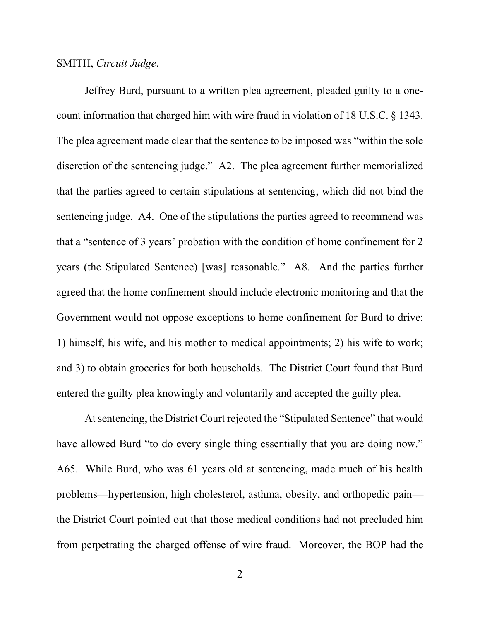### SMITH, *Circuit Judge*.

Jeffrey Burd, pursuant to a written plea agreement, pleaded guilty to a onecount information that charged him with wire fraud in violation of 18 U.S.C. § 1343. The plea agreement made clear that the sentence to be imposed was "within the sole discretion of the sentencing judge." A2. The plea agreement further memorialized that the parties agreed to certain stipulations at sentencing, which did not bind the sentencing judge. A4. One of the stipulations the parties agreed to recommend was that a "sentence of 3 years' probation with the condition of home confinement for 2 years (the Stipulated Sentence) [was] reasonable." A8. And the parties further agreed that the home confinement should include electronic monitoring and that the Government would not oppose exceptions to home confinement for Burd to drive: 1) himself, his wife, and his mother to medical appointments; 2) his wife to work; and 3) to obtain groceries for both households. The District Court found that Burd entered the guilty plea knowingly and voluntarily and accepted the guilty plea.

At sentencing, the District Court rejected the "Stipulated Sentence" that would have allowed Burd "to do every single thing essentially that you are doing now." A65. While Burd, who was 61 years old at sentencing, made much of his health problems—hypertension, high cholesterol, asthma, obesity, and orthopedic pain the District Court pointed out that those medical conditions had not precluded him from perpetrating the charged offense of wire fraud. Moreover, the BOP had the